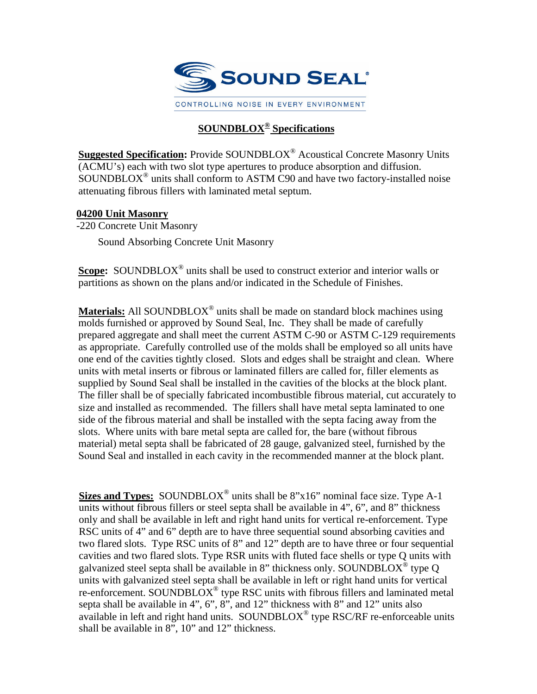

## **SOUNDBLOX® Specifications**

**Suggested Specification:** Provide SOUNDBLOX® Acoustical Concrete Masonry Units (ACMU's) each with two slot type apertures to produce absorption and diffusion. SOUNDBLOX® units shall conform to ASTM C90 and have two factory-installed noise attenuating fibrous fillers with laminated metal septum.

## **04200 Unit Masonry**

-220 Concrete Unit Masonry Sound Absorbing Concrete Unit Masonry

**Scope:** SOUNDBLOX<sup>®</sup> units shall be used to construct exterior and interior walls or partitions as shown on the plans and/or indicated in the Schedule of Finishes.

**Materials:** All SOUNDBLOX® units shall be made on standard block machines using molds furnished or approved by Sound Seal, Inc. They shall be made of carefully prepared aggregate and shall meet the current ASTM C-90 or ASTM C-129 requirements as appropriate. Carefully controlled use of the molds shall be employed so all units have one end of the cavities tightly closed. Slots and edges shall be straight and clean. Where units with metal inserts or fibrous or laminated fillers are called for, filler elements as supplied by Sound Seal shall be installed in the cavities of the blocks at the block plant. The filler shall be of specially fabricated incombustible fibrous material, cut accurately to size and installed as recommended. The fillers shall have metal septa laminated to one side of the fibrous material and shall be installed with the septa facing away from the slots. Where units with bare metal septa are called for, the bare (without fibrous material) metal septa shall be fabricated of 28 gauge, galvanized steel, furnished by the Sound Seal and installed in each cavity in the recommended manner at the block plant.

Sizes and Types: SOUNDBLOX<sup>®</sup> units shall be 8"x16" nominal face size. Type A-1 units without fibrous fillers or steel septa shall be available in 4", 6", and 8" thickness only and shall be available in left and right hand units for vertical re-enforcement. Type RSC units of 4" and 6" depth are to have three sequential sound absorbing cavities and two flared slots. Type RSC units of 8" and 12" depth are to have three or four sequential cavities and two flared slots. Type RSR units with fluted face shells or type Q units with galvanized steel septa shall be available in 8" thickness only. SOUNDBLOX<sup>®</sup> type Q units with galvanized steel septa shall be available in left or right hand units for vertical re-enforcement. SOUNDBLOX<sup>®</sup> type RSC units with fibrous fillers and laminated metal septa shall be available in 4", 6", 8", and 12" thickness with 8" and 12" units also available in left and right hand units. SOUNDBLOX<sup>®</sup> type RSC/RF re-enforceable units shall be available in 8", 10" and 12" thickness.